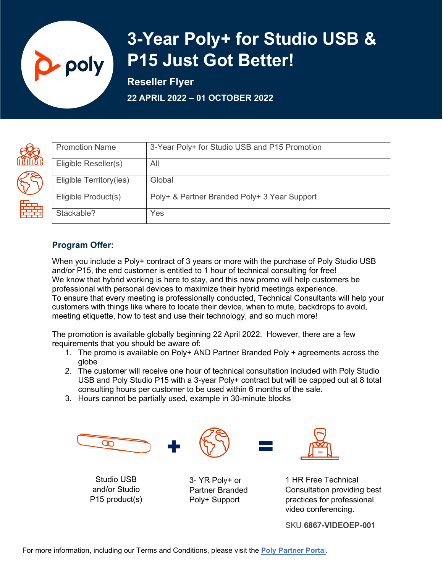

# **3-Year Poly+ for Studio USB & P15 Just Got Better!**

**Reseller Flyer** 

**22 APRIL 2022 – 01 OCTOBER 2022** 

| <b>Promotion Name</b>   | 3-Year Poly+ for Studio USB and P15 Promotion |
|-------------------------|-----------------------------------------------|
| Eligible Reseller(s)    | All                                           |
| Eligible Territory(ies) | Global                                        |
| Eligible Product(s)     | Poly+ & Partner Branded Poly+ 3 Year Support  |
| Stackable?              | Yes                                           |

# **Program Offer:**

When you include a Poly+ contract of 3 years or more with the purchase of Poly Studio USB and/or P15, the end customer is entitled to 1 hour of technical consulting for free! We know that hybrid working is here to stay, and this new promo will help customers be professional with personal devices to maximize their hybrid meetings experience. To ensure that every meeting is professionally conducted, Technical Consultants will help your customers with things like where to locate their device, when to mute, backdrops to avoid, meeting etiquette, how to test and use their technology, and so much more!

The promotion is available globally beginning 22 April 2022. However, there are a few requirements that you should be aware of:

- 1. The promo is available on Poly+ AND Partner Branded Poly + agreements across the globe
- 2. The customer will receive one hour of technical consultation included with Poly Studio USB and Poly Studio P15 with a 3-year Poly+ contract but will be capped out at 8 total consulting hours per customer to be used within 6 months of the sale.
- 3. Hours cannot be partially used, example in 30-minute blocks



Studio USB and/or Studio P15 product(s)

3- YR Poly+ or Partner Branded Poly+ Support



1 HR Free Technical Consultation providing best practices for professional video conferencing.

SKU **6867-VIDEOEP-001**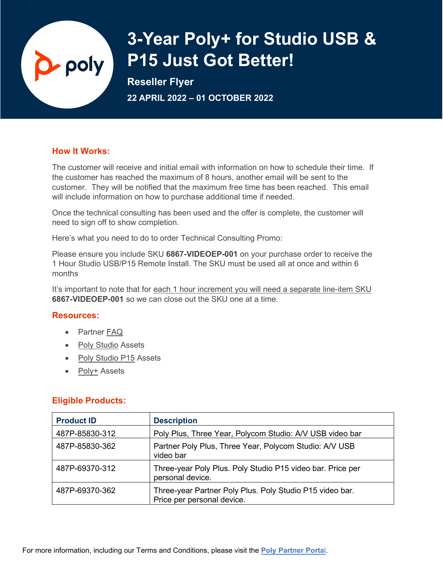# $\Delta$  poly

# **3-Year Poly+ for Studio USB & P15 Just Got Better!**

**Reseller Flyer** 

**22 APRIL 2022 – 01 OCTOBER 2022** 

## **How It Works:**

The customer will receive and initial email with information on how to schedule their time. If the customer has reached the maximum of 8 hours, another email will be sent to the customer. They will be notified that the maximum free time has been reached. This email will include information on how to purchase additional time if needed.

Once the technical consulting has been used and the offer is complete, the customer will need to sign off to show completion.

Here's what you need to do to order Technical Consulting Promo:

Please ensure you include SKU **6867-VIDEOEP-001** on your purchase order to receive the 1 Hour Studio USB/P15 Remote Install. The SKU must be used all at once and within 6 months

It's important to note that for each 1 hour increment you will need a separate line-item SKU **6867-VIDEOEP-001** so we can close out the SKU one at a time.

## **Resources:**

- Partner [FAQ](https://partners.poly.com/prm/English/s/assets?id=353039)
- [Poly Studio](https://partners.poly.com/prm/English/s/assets?collectionId=14994) Assets
- [Poly Studio P15](https://partners.poly.com/prm/English/s/assets?collectionId=23220) Assets
- [Poly+](https://partners.poly.com/prm/English/s/assets?collectionId=23500) Assets

## **Eligible Products:**

| <b>Product ID</b> | <b>Description</b>                                                                     |
|-------------------|----------------------------------------------------------------------------------------|
| 487P-85830-312    | Poly Plus, Three Year, Polycom Studio: A/V USB video bar                               |
| 487P-85830-362    | Partner Poly Plus, Three Year, Polycom Studio: A/V USB<br>video bar                    |
| 487P-69370-312    | Three-year Poly Plus. Poly Studio P15 video bar. Price per<br>personal device.         |
| 487P-69370-362    | Three-year Partner Poly Plus. Poly Studio P15 video bar.<br>Price per personal device. |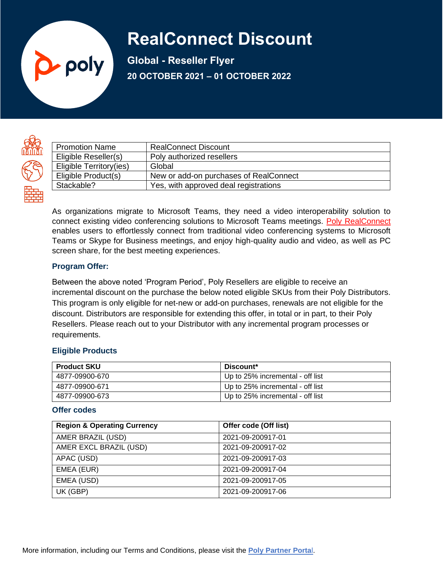# **RealConnect Discount**

**Global - Reseller Flyer 20 OCTOBER 2021 – 01 OCTOBER 2022**



| <b>Promotion Name</b>   | <b>RealConnect Discount</b>            |
|-------------------------|----------------------------------------|
| Eligible Reseller(s)    | Poly authorized resellers              |
| Eligible Territory(ies) | Global                                 |
| Eligible Product(s)     | New or add-on purchases of RealConnect |
| Stackable?              | Yes, with approved deal registrations  |

As organizations migrate to Microsoft Teams, they need a video interoperability solution to connect existing video conferencing solutions to Microsoft Teams meetings. [Poly RealConnect](https://www.poly.com/us/en/products/services/cloud/realconnect) enables users to effortlessly connect from traditional video conferencing systems to Microsoft Teams or Skype for Business meetings, and enjoy high-quality audio and video, as well as PC screen share, for the best meeting experiences.

#### **Program Offer:**

**D**-poly

Between the above noted 'Program Period', Poly Resellers are eligible to receive an incremental discount on the purchase the below noted eligible SKUs from their Poly Distributors. This program is only eligible for net-new or add-on purchases, renewals are not eligible for the discount. Distributors are responsible for extending this offer, in total or in part, to their Poly Resellers. Please reach out to your Distributor with any incremental program processes or requirements.

## **Eligible Products**

| <b>Product SKU</b> | Discount*                        |
|--------------------|----------------------------------|
| 4877-09900-670     | Up to 25% incremental - off list |
| 4877-09900-671     | Up to 25% incremental - off list |
| 4877-09900-673     | Up to 25% incremental - off list |

### **Offer codes**

| <b>Region &amp; Operating Currency</b> | Offer code (Off list) |
|----------------------------------------|-----------------------|
| AMER BRAZIL (USD)                      | 2021-09-200917-01     |
| AMER EXCL BRAZIL (USD)                 | 2021-09-200917-02     |
| APAC (USD)                             | 2021-09-200917-03     |
| EMEA (EUR)                             | 2021-09-200917-04     |
| EMEA (USD)                             | 2021-09-200917-05     |
| UK (GBP)                               | 2021-09-200917-06     |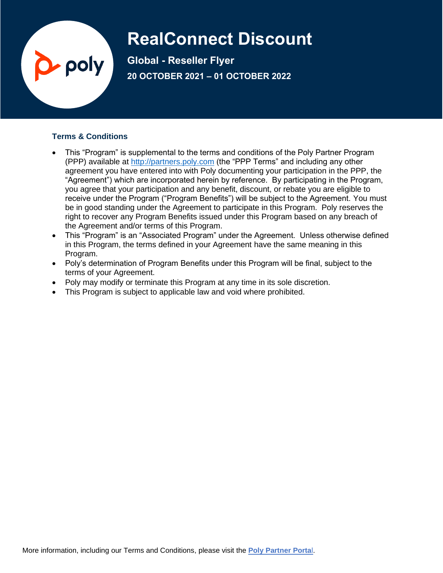# **RealConnect Discount**

**Global - Reseller Flyer 20 OCTOBER 2021 – 01 OCTOBER 2022**

## **Terms & Conditions**

poly

- This "Program" is supplemental to the terms and conditions of the Poly Partner Program (PPP) available at [http://partners.poly.com](http://partners.poly.com/) (the "PPP Terms" and including any other agreement you have entered into with Poly documenting your participation in the PPP, the "Agreement") which are incorporated herein by reference. By participating in the Program, you agree that your participation and any benefit, discount, or rebate you are eligible to receive under the Program ("Program Benefits") will be subject to the Agreement. You must be in good standing under the Agreement to participate in this Program. Poly reserves the right to recover any Program Benefits issued under this Program based on any breach of the Agreement and/or terms of this Program.
- This "Program" is an "Associated Program" under the Agreement. Unless otherwise defined in this Program, the terms defined in your Agreement have the same meaning in this Program.
- Poly's determination of Program Benefits under this Program will be final, subject to the terms of your Agreement.
- Poly may modify or terminate this Program at any time in its sole discretion.
- This Program is subject to applicable law and void where prohibited.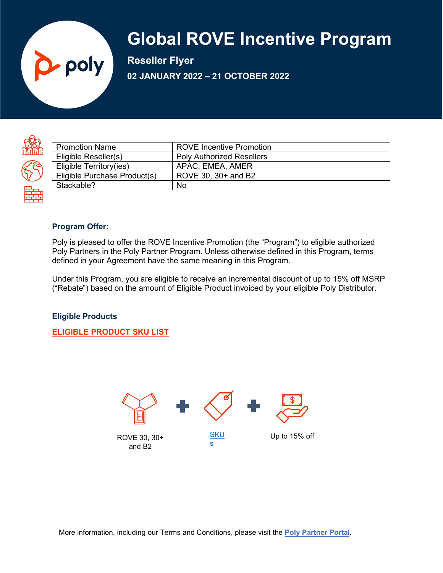# **Global ROVE Incentive Program**

**Reseller Flyer 02 JANUARY 2022 – 21 OCTOBER 2022**



| <b>Promotion Name</b>        | <b>ROVE Incentive Promotion</b>  |
|------------------------------|----------------------------------|
| Eligible Reseller(s)         | <b>Poly Authorized Resellers</b> |
| Eligible Territory(ies)      | APAC, EMEA, AMER                 |
| Eligible Purchase Product(s) | ROVE 30, 30+ and B2              |
| Stackable?                   | No                               |
|                              |                                  |

#### **Program Offer:**

poly

Poly is pleased to offer the ROVE Incentive Promotion (the "Program") to eligible authorized Poly Partners in the Poly Partner Program. Unless otherwise defined in this Program, terms defined in your Agreement have the same meaning in this Program.

Under this Program, you are eligible to receive an incremental discount of up to 15% off MSRP ("Rebate") based on the amount of Eligible Product invoiced by your eligible Poly Distributor.

#### **Eligible Products**

**[ELIGIBLE PRODUCT SKU LIST](https://partners.poly.com/prm/api/objects/v1/asset/0vvwes87rkvf/_view)**

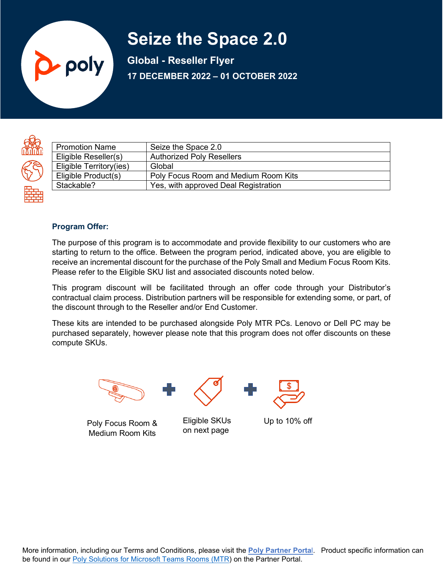# **Seize the Space 2.0**

**Global - Reseller Flyer 17 DECEMBER 2022 – 01 OCTOBER 2022**



| <b>Promotion Name</b>   | Seize the Space 2.0                  |
|-------------------------|--------------------------------------|
| Eligible Reseller(s)    | <b>Authorized Poly Resellers</b>     |
| Eligible Territory(ies) | Global                               |
| Eligible Product(s)     | Poly Focus Room and Medium Room Kits |
| Stackable?              | Yes, with approved Deal Registration |
|                         |                                      |

#### **Program Offer:**

poly

The purpose of this program is to accommodate and provide flexibility to our customers who are starting to return to the office. Between the program period, indicated above, you are eligible to receive an incremental discount for the purchase of the Poly Small and Medium Focus Room Kits. Please refer to the Eligible SKU list and associated discounts noted below.

This program discount will be facilitated through an offer code through your Distributor's contractual claim process. Distribution partners will be responsible for extending some, or part, of the discount through to the Reseller and/or End Customer.

These kits are intended to be purchased alongside Poly MTR PCs. Lenovo or Dell PC may be purchased separately, however please note that this program does not offer discounts on these compute SKUs.



Poly Focus Room & Medium Room Kits

Eligible SKUs Up to 10% off on next page

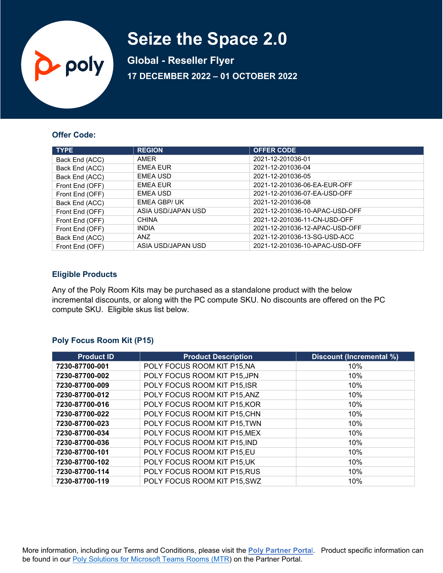# **Seize the Space 2.0**

**Global - Reseller Flyer 17 DECEMBER 2022 – 01 OCTOBER 2022**

#### **Offer Code:**

p poly

| <b>TYPE</b>     | <b>REGION</b>      | <b>OFFER CODE</b>              |
|-----------------|--------------------|--------------------------------|
| Back End (ACC)  | AMER               | 2021-12-201036-01              |
| Back End (ACC)  | <b>EMEA EUR</b>    | 2021-12-201036-04              |
| Back End (ACC)  | <b>EMEA USD</b>    | 2021-12-201036-05              |
| Front End (OFF) | <b>EMEA EUR</b>    | 2021-12-201036-06-EA-EUR-OFF   |
| Front End (OFF) | <b>EMEA USD</b>    | 2021-12-201036-07-EA-USD-OFF   |
| Back End (ACC)  | EMEA GBP/UK        | 2021-12-201036-08              |
| Front End (OFF) | ASIA USD/JAPAN USD | 2021-12-201036-10-APAC-USD-OFF |
| Front End (OFF) | <b>CHINA</b>       | 2021-12-201036-11-CN-USD-OFF   |
| Front End (OFF) | <b>INDIA</b>       | 2021-12-201036-12-APAC-USD-OFF |
| Back End (ACC)  | <b>ANZ</b>         | 2021-12-201036-13-SG-USD-ACC   |
| Front End (OFF) | ASIA USD/JAPAN USD | 2021-12-201036-10-APAC-USD-OFF |

#### **Eligible Products**

Any of the Poly Room Kits may be purchased as a standalone product with the below incremental discounts, or along with the PC compute SKU. No discounts are offered on the PC compute SKU. Eligible skus list below.

#### **Poly Focus Room Kit (P15)**

| <b>Product ID</b> | <b>Product Description</b>   | <b>Discount (Incremental %)</b> |
|-------------------|------------------------------|---------------------------------|
| 7230-87700-001    | POLY FOCUS ROOM KIT P15, NA  | 10%                             |
| 7230-87700-002    | POLY FOCUS ROOM KIT P15, JPN | 10%                             |
| 7230-87700-009    | POLY FOCUS ROOM KIT P15, ISR | 10%                             |
| 7230-87700-012    | POLY FOCUS ROOM KIT P15, ANZ | 10%                             |
| 7230-87700-016    | POLY FOCUS ROOM KIT P15, KOR | 10%                             |
| 7230-87700-022    | POLY FOCUS ROOM KIT P15, CHN | 10%                             |
| 7230-87700-023    | POLY FOCUS ROOM KIT P15, TWN | 10%                             |
| 7230-87700-034    | POLY FOCUS ROOM KIT P15, MEX | 10%                             |
| 7230-87700-036    | POLY FOCUS ROOM KIT P15, IND | 10%                             |
| 7230-87700-101    | POLY FOCUS ROOM KIT P15,EU   | 10%                             |
| 7230-87700-102    | POLY FOCUS ROOM KIT P15, UK  | 10%                             |
| 7230-87700-114    | POLY FOCUS ROOM KIT P15, RUS | 10%                             |
| 7230-87700-119    | POLY FOCUS ROOM KIT P15, SWZ | 10%                             |

More information, including our Terms and Conditions, please visit the **[Poly Partner Porta](https://partners.poly.com/prm/English/c/promotion-terms-conditions)**l. Product specific information can be found in our **Poly Solutions for Microsoft Teams Rooms (MTR)** on the Partner Portal.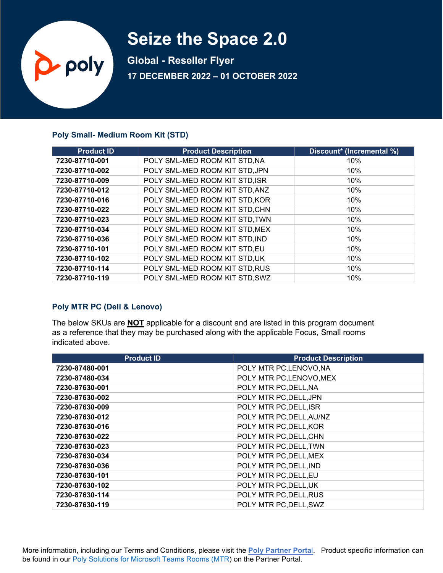# **Seize the Space 2.0**

**Global - Reseller Flyer 17 DECEMBER 2022 – 01 OCTOBER 2022**

#### **Poly Small- Medium Room Kit (STD)**

p poly

| <b>Product ID</b> | <b>Product Description</b>     | Discount* (Incremental %) |
|-------------------|--------------------------------|---------------------------|
| 7230-87710-001    | POLY SML-MED ROOM KIT STD, NA  | 10%                       |
| 7230-87710-002    | POLY SML-MED ROOM KIT STD, JPN | 10%                       |
| 7230-87710-009    | POLY SML-MED ROOM KIT STD, ISR | 10%                       |
| 7230-87710-012    | POLY SML-MED ROOM KIT STD, ANZ | 10%                       |
| 7230-87710-016    | POLY SML-MED ROOM KIT STD, KOR | 10%                       |
| 7230-87710-022    | POLY SML-MED ROOM KIT STD, CHN | 10%                       |
| 7230-87710-023    | POLY SML-MED ROOM KIT STD, TWN | 10%                       |
| 7230-87710-034    | POLY SML-MED ROOM KIT STD, MEX | 10%                       |
| 7230-87710-036    | POLY SML-MED ROOM KIT STD, IND | 10%                       |
| 7230-87710-101    | POLY SML-MED ROOM KIT STD,EU   | 10%                       |
| 7230-87710-102    | POLY SML-MED ROOM KIT STD, UK  | 10%                       |
| 7230-87710-114    | POLY SML-MED ROOM KIT STD, RUS | 10%                       |
| 7230-87710-119    | POLY SML-MED ROOM KIT STD, SWZ | 10%                       |

## **Poly MTR PC (Dell & Lenovo)**

The below SKUs are **NOT** applicable for a discount and are listed in this program document as a reference that they may be purchased along with the applicable Focus, Small rooms indicated above.

| <b>Product ID</b> | <b>Product Description</b> |
|-------------------|----------------------------|
| 7230-87480-001    | POLY MTR PC, LENOVO, NA    |
| 7230-87480-034    | POLY MTR PC, LENOVO, MEX   |
| 7230-87630-001    | POLY MTR PC, DELL, NA      |
| 7230-87630-002    | POLY MTR PC, DELL, JPN     |
| 7230-87630-009    | POLY MTR PC, DELL, ISR     |
| 7230-87630-012    | POLY MTR PC, DELL, AU/NZ   |
| 7230-87630-016    | POLY MTR PC, DELL, KOR     |
| 7230-87630-022    | POLY MTR PC, DELL, CHN     |
| 7230-87630-023    | POLY MTR PC, DELL, TWN     |
| 7230-87630-034    | POLY MTR PC, DELL, MEX     |
| 7230-87630-036    | POLY MTR PC, DELL, IND     |
| 7230-87630-101    | POLY MTR PC, DELL, EU      |
| 7230-87630-102    | POLY MTR PC, DELL, UK      |
| 7230-87630-114    | POLY MTR PC, DELL, RUS     |
| 7230-87630-119    | POLY MTR PC, DELL, SWZ     |

More information, including our Terms and Conditions, please visit the **[Poly Partner Porta](https://partners.poly.com/prm/English/c/promotion-terms-conditions)**l. Product specific information can be found in our **Poly Solutions for Microsoft Teams Rooms (MTR)** on the Partner Portal.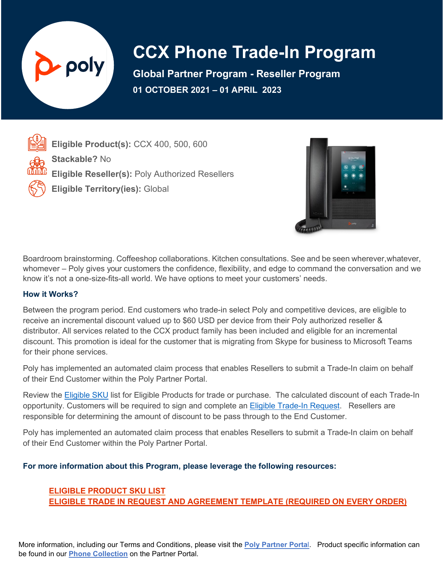

# **CCX Phone Trade-In Program**

**Global Partner Program - Reseller Program 01 OCTOBER 2021 – 01 APRIL 2023**

**Eligible Product(s):** CCX 400, 500, 600 **Stackable?** No **Eligible Reseller(s):** Poly Authorized Resellers **Eligible Territory(ies):** Global



Boardroom brainstorming. Coffeeshop collaborations. Kitchen consultations. See and be seen wherever, whatever, whomever – Poly gives your customers the confidence, flexibility, and edge to command the conversation and we know it's not a one-size-fits-all world. We have options to meet your customers' needs.

## **How it Works?**

Between the program period. End customers who trade-in select Poly and competitive devices, are eligible to receive an incremental discount valued up to \$60 USD per device from their Poly authorized reseller & distributor. All services related to the CCX product family has been included and eligible for an incremental discount. This promotion is ideal for the customer that is migrating from Skype for business to Microsoft Teams for their phone services.

Poly has implemented an automated claim process that enables Resellers to submit a Trade-In claim on behalf of their End Customer within the Poly Partner Portal.

Review the [Eligible](https://partners.poly.com/prm/api/objects/v1/asset/ldxp6gv0whmd/_view) SKU list for Eligible Products for trade or purchase. The calculated discount of each Trade-In opportunity. Customers will be required to sign and complete an [Eligible Trade-In Request.](https://partners.poly.com/prm/api/objects/v1/asset/znho4viv1fuu/_download) Resellers are responsible for determining the amount of discount to be pass through to the End Customer.

Poly has implemented an automated claim process that enables Resellers to submit a Trade-In claim on behalf of their End Customer within the Poly Partner Portal.

## **For more information about this Program, please leverage the following resources:**

## **ELIGIBLE [PRODUCT](https://partners.poly.com/prm/api/objects/v1/asset/ldxp6gv0whmd/_view) SKU LIST ELIGIBLE TRADE [IN REQUEST AND AGREEMENT](https://partners.poly.com/prm/api/objects/v1/asset/znho4viv1fuu/_download) TEMPLATE (REQUIRED ON EVERY ORDER)**

More information, including our Terms and Conditions, please visit the **[Poly Partner Porta](https://partners.poly.com/prm/English/c/promotion-terms-conditions)**l. Product specific information can be found in our **[Phone](https://partners.poly.com/prm/English/s/assets?collectionId=11171) Collection** on the Partner Portal.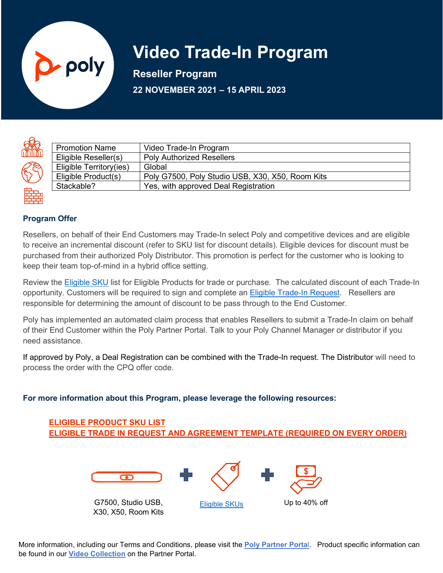

# **Video Trade-In Program**

**Reseller Program 22 NOVEMBER 2021 – 15 APRIL 2023**

| ⋔<br>Ô<br>Ľ |  |
|-------------|--|
|             |  |
|             |  |

| <b>Promotion Name</b>   | Video Trade-In Program                           |
|-------------------------|--------------------------------------------------|
| Eligible Reseller(s)    | <b>Poly Authorized Resellers</b>                 |
| Eligible Territory(ies) | Global                                           |
| Eligible Product(s)     | Poly G7500, Poly Studio USB, X30, X50, Room Kits |
| Stackable?              | Yes, with approved Deal Registration             |
|                         |                                                  |

## **Program Offer**

Resellers, on behalf of their End Customers may Trade-In select Poly and competitive devices and are eligible to receive an incremental discount (refer to SKU list for discount details). Eligible devices for discount must be purchased from their authorized Poly Distributor. This promotion is perfect for the customer who is looking to keep their team top-of-mind in a hybrid office setting.

Review the **[Eligible](https://partners.poly.com/prm/api/objects/v1/asset/pvonquncvc7e/_view) SKU** list for Eligible Products for trade or purchase. The calculated discount of each Trade-In opportunity. Customers will be required to sign and complete an [Eligible Trade-In Request.](https://partners.poly.com/prm/api/objects/v1/asset/zmdqnvtidrst/_view) Resellers are responsible for determining the amount of discount to be pass through to the End Customer.

Poly has implemented an automated claim process that enables Resellers to submit a Trade-In claim on behalf of their End Customer within the Poly Partner Portal. Talk to your Poly Channel Manager or distributor if you need assistance.

If approved by Poly, a Deal Registration can be combined with the Trade-In request. The Distributor will need to process the order with the CPQ offer code.

## **For more information about this Program, please leverage the following resources:**



More information, including our Terms and Conditions, please visit the **[Poly Partner Porta](https://partners.poly.com/prm/English/c/promotion-terms-conditions)**l. Product specific information can be found in our **[Video Collection](https://partners.poly.com/prm/English/s/assets?collectionId=11173)** on the Partner Portal.